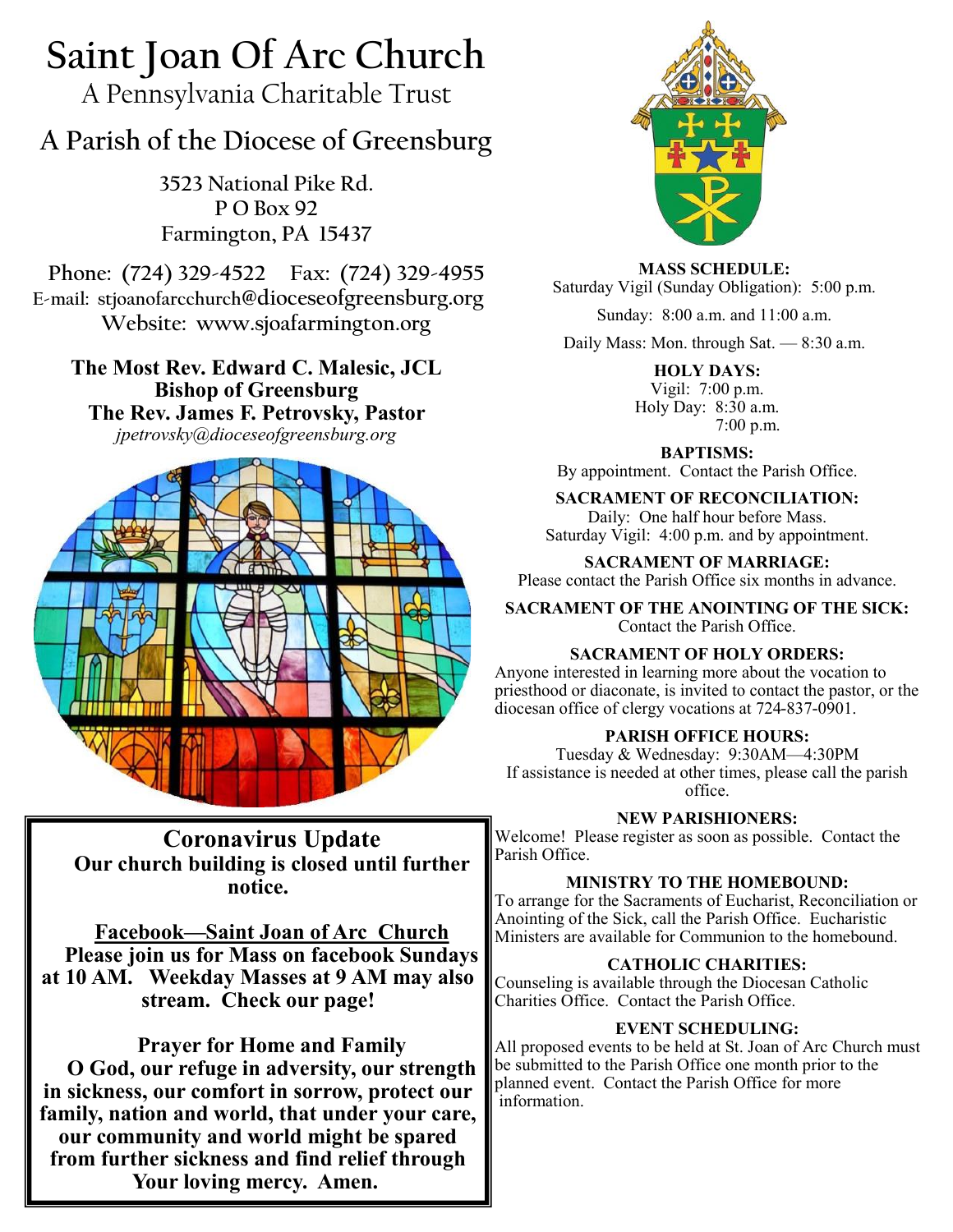# **Saint Joan Of Arc Church**

A Pennsylvania Charitable Trust

## **A Parish of the Diocese of Greensburg**

**3523 National Pike Rd. P O Box 92 Farmington, PA 15437**

**Phone: (724) 329-4522 Fax: (724) 329-4955 E-mail: stjoanofarcchurch@dioceseofgreensburg.org Website: www.sjoafarmington.org**

**The Most Rev. Edward C. Malesic, JCL Bishop of Greensburg The Rev. James F. Petrovsky, Pastor** *jpetrovsky@dioceseofgreensburg.org*



**Coronavirus Update Our church building is closed until further notice.**

**Facebook—Saint Joan of Arc Church Please join us for Mass on facebook Sundays at 10 AM. Weekday Masses at 9 AM may also stream. Check our page!**

**Prayer for Home and Family O God, our refuge in adversity, our strength in sickness, our comfort in sorrow, protect our family, nation and world, that under your care, our community and world might be spared from further sickness and find relief through Your loving mercy. Amen.**



**MASS SCHEDULE:** Saturday Vigil (Sunday Obligation): 5:00 p.m.

Sunday: 8:00 a.m. and 11:00 a.m.

Daily Mass: Mon. through Sat. — 8:30 a.m.

**HOLY DAYS:** Vigil: 7:00 p.m. Holy Day: 8:30 a.m. 7:00 p.m.

**BAPTISMS:**  By appointment. Contact the Parish Office.

### **SACRAMENT OF RECONCILIATION:**

Daily: One half hour before Mass. Saturday Vigil: 4:00 p.m. and by appointment.

**SACRAMENT OF MARRIAGE:**

Please contact the Parish Office six months in advance.

**SACRAMENT OF THE ANOINTING OF THE SICK:** Contact the Parish Office.

## **SACRAMENT OF HOLY ORDERS:**

Anyone interested in learning more about the vocation to priesthood or diaconate, is invited to contact the pastor, or the diocesan office of clergy vocations at 724-837-0901.

## **PARISH OFFICE HOURS:**

Tuesday & Wednesday: 9:30AM—4:30PM If assistance is needed at other times, please call the parish office.

**NEW PARISHIONERS:**

Welcome! Please register as soon as possible. Contact the Parish Office.

## **MINISTRY TO THE HOMEBOUND:**

To arrange for the Sacraments of Eucharist, Reconciliation or Anointing of the Sick, call the Parish Office. Eucharistic Ministers are available for Communion to the homebound.

### **CATHOLIC CHARITIES:**

Counseling is available through the Diocesan Catholic Charities Office. Contact the Parish Office.

### **EVENT SCHEDULING:**

All proposed events to be held at St. Joan of Arc Church must be submitted to the Parish Office one month prior to the planned event. Contact the Parish Office for more information.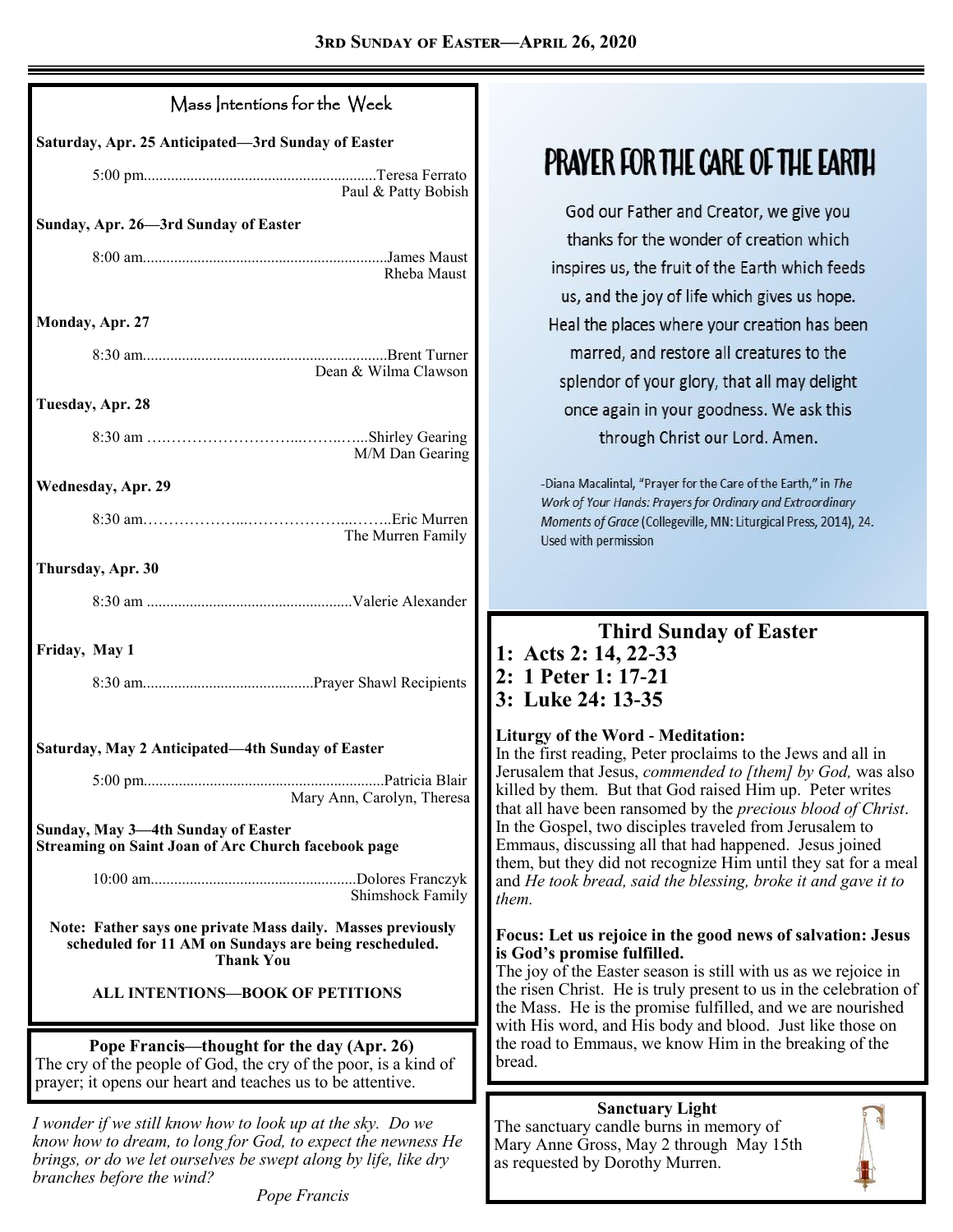| Saturday, Apr. 25 Anticipated-3rd Sunday of Easter<br>Paul & Patty Bobish<br>Sunday, Apr. 26-3rd Sunday of Easter<br>Rheba Maust<br>Monday, Apr. 27<br>Dean & Wilma Clawson<br>Tuesday, Apr. 28<br>M/M Dan Gearing<br><b>Wednesday, Apr. 29</b><br>The Murren Family<br>Thursday, Apr. 30<br>Friday, May 1<br>Saturday, May 2 Anticipated—4th Sunday of Easter<br>Patricia Blair<br>$5:00 \text{ pm}$<br>Mary Ann, Carolyn, Theresa<br>Sunday, May 3—4th Sunday of Easter<br><b>Streaming on Saint Joan of Arc Church facebook page</b><br>Dolores Franczyk<br>Shimshock Family<br>Note: Father says one private Mass daily. Masses previously<br>scheduled for 11 AM on Sundays are being rescheduled.<br><b>Thank You</b><br><b>ALL INTENTIONS-BOOK OF PETITIONS</b><br>Pope Francis—thought for the day (Apr. 26)<br>The cry of the people of God, the cry of the poor, is a kind of | Mass Intentions for the Week |  |  |
|-----------------------------------------------------------------------------------------------------------------------------------------------------------------------------------------------------------------------------------------------------------------------------------------------------------------------------------------------------------------------------------------------------------------------------------------------------------------------------------------------------------------------------------------------------------------------------------------------------------------------------------------------------------------------------------------------------------------------------------------------------------------------------------------------------------------------------------------------------------------------------------------|------------------------------|--|--|
|                                                                                                                                                                                                                                                                                                                                                                                                                                                                                                                                                                                                                                                                                                                                                                                                                                                                                         |                              |  |  |
|                                                                                                                                                                                                                                                                                                                                                                                                                                                                                                                                                                                                                                                                                                                                                                                                                                                                                         |                              |  |  |
|                                                                                                                                                                                                                                                                                                                                                                                                                                                                                                                                                                                                                                                                                                                                                                                                                                                                                         |                              |  |  |
|                                                                                                                                                                                                                                                                                                                                                                                                                                                                                                                                                                                                                                                                                                                                                                                                                                                                                         |                              |  |  |
|                                                                                                                                                                                                                                                                                                                                                                                                                                                                                                                                                                                                                                                                                                                                                                                                                                                                                         |                              |  |  |
|                                                                                                                                                                                                                                                                                                                                                                                                                                                                                                                                                                                                                                                                                                                                                                                                                                                                                         |                              |  |  |
|                                                                                                                                                                                                                                                                                                                                                                                                                                                                                                                                                                                                                                                                                                                                                                                                                                                                                         |                              |  |  |
|                                                                                                                                                                                                                                                                                                                                                                                                                                                                                                                                                                                                                                                                                                                                                                                                                                                                                         |                              |  |  |
|                                                                                                                                                                                                                                                                                                                                                                                                                                                                                                                                                                                                                                                                                                                                                                                                                                                                                         |                              |  |  |
|                                                                                                                                                                                                                                                                                                                                                                                                                                                                                                                                                                                                                                                                                                                                                                                                                                                                                         |                              |  |  |
|                                                                                                                                                                                                                                                                                                                                                                                                                                                                                                                                                                                                                                                                                                                                                                                                                                                                                         |                              |  |  |
|                                                                                                                                                                                                                                                                                                                                                                                                                                                                                                                                                                                                                                                                                                                                                                                                                                                                                         |                              |  |  |
|                                                                                                                                                                                                                                                                                                                                                                                                                                                                                                                                                                                                                                                                                                                                                                                                                                                                                         |                              |  |  |
|                                                                                                                                                                                                                                                                                                                                                                                                                                                                                                                                                                                                                                                                                                                                                                                                                                                                                         |                              |  |  |
|                                                                                                                                                                                                                                                                                                                                                                                                                                                                                                                                                                                                                                                                                                                                                                                                                                                                                         |                              |  |  |
|                                                                                                                                                                                                                                                                                                                                                                                                                                                                                                                                                                                                                                                                                                                                                                                                                                                                                         |                              |  |  |
|                                                                                                                                                                                                                                                                                                                                                                                                                                                                                                                                                                                                                                                                                                                                                                                                                                                                                         |                              |  |  |
|                                                                                                                                                                                                                                                                                                                                                                                                                                                                                                                                                                                                                                                                                                                                                                                                                                                                                         |                              |  |  |
|                                                                                                                                                                                                                                                                                                                                                                                                                                                                                                                                                                                                                                                                                                                                                                                                                                                                                         |                              |  |  |
|                                                                                                                                                                                                                                                                                                                                                                                                                                                                                                                                                                                                                                                                                                                                                                                                                                                                                         |                              |  |  |
| prayer; it opens our heart and teaches us to be attentive.                                                                                                                                                                                                                                                                                                                                                                                                                                                                                                                                                                                                                                                                                                                                                                                                                              |                              |  |  |

*I wonder if we still know how to look up at the sky. Do we know how to dream, to long for God, to expect the newness He brings, or do we let ourselves be swept along by life, like dry branches before the wind?*

*Pope Francis*

## **PRAYER FOR THE CARE OF THE EARTH**

God our Father and Creator, we give you thanks for the wonder of creation which inspires us, the fruit of the Earth which feeds us, and the joy of life which gives us hope. Heal the places where your creation has been marred, and restore all creatures to the splendor of your glory, that all may delight once again in your goodness. We ask this through Christ our Lord. Amen.

-Diana Macalintal, "Prayer for the Care of the Earth," in The Work of Your Hands: Prayers for Ordinary and Extraordinary Moments of Grace (Collegeville, MN: Liturgical Press, 2014), 24. Used with permission

## **Third Sunday of Easter**

**1: Acts 2: 14, 22-33 2: 1 Peter 1: 17-21 3: Luke 24: 13-35**

### **Liturgy of the Word - Meditation:**

In the first reading, Peter proclaims to the Jews and all in Jerusalem that Jesus, *commended to [them] by God,* was also killed by them. But that God raised Him up. Peter writes that all have been ransomed by the *precious blood of Christ*. In the Gospel, two disciples traveled from Jerusalem to Emmaus, discussing all that had happened. Jesus joined them, but they did not recognize Him until they sat for a meal and *He took bread, said the blessing, broke it and gave it to them.*

### **Focus: Let us rejoice in the good news of salvation: Jesus is God's promise fulfilled.**

The joy of the Easter season is still with us as we rejoice in the risen Christ. He is truly present to us in the celebration of the Mass. He is the promise fulfilled, and we are nourished with His word, and His body and blood. Just like those on the road to Emmaus, we know Him in the breaking of the bread.

**Sanctuary Light** The sanctuary candle burns in memory of Mary Anne Gross, May 2 through May 15th as requested by Dorothy Murren.

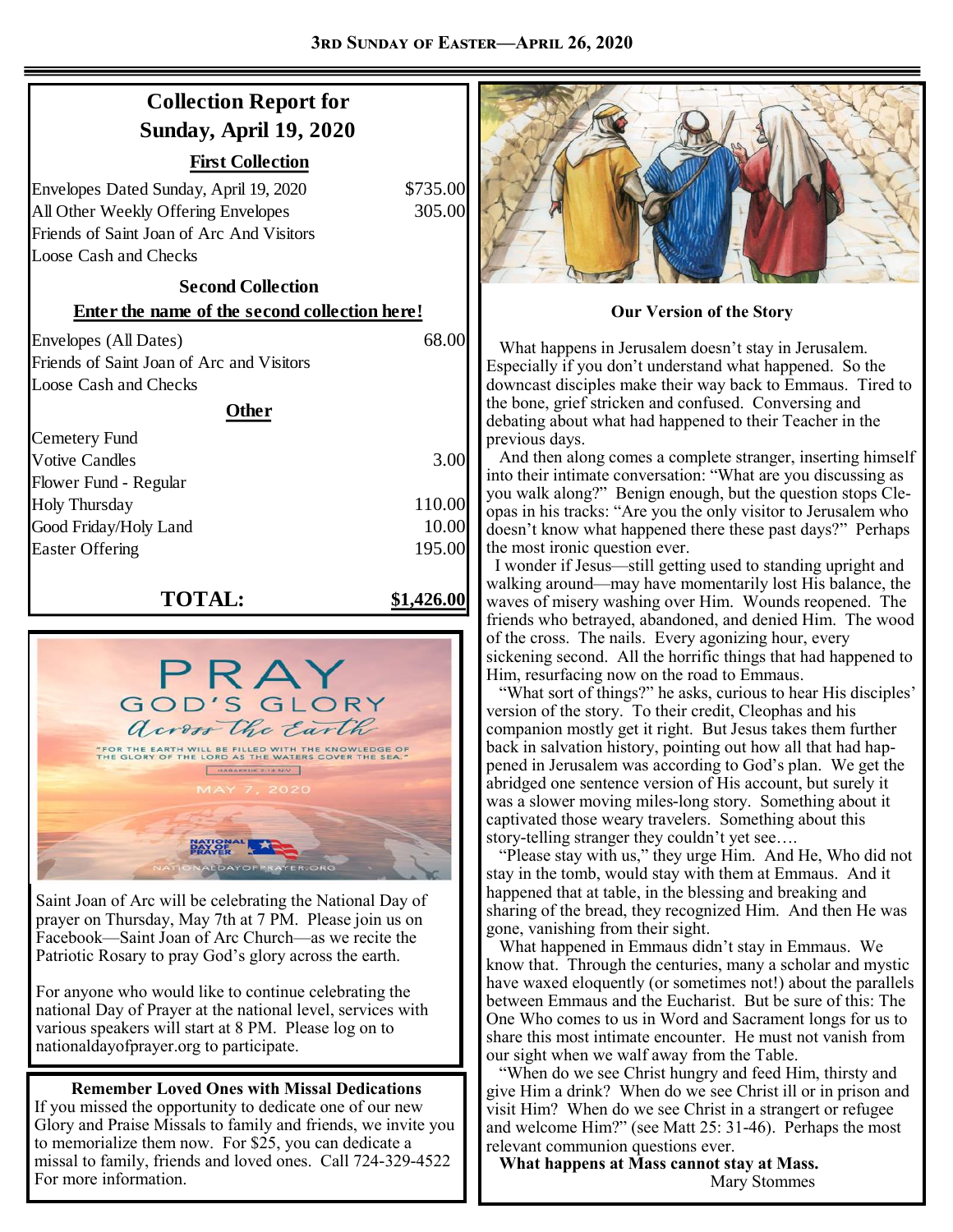## **Collection Report for Sunday, April 19, 2020**

| 'irst Collection |
|------------------|
|                  |

Envelopes Dated Sunday, April 19, 2020 \$735.00 All Other Weekly Offering Envelopes 305.00 Friends of Saint Joan of Arc And Visitors Loose Cash and Checks

## **Second Collection**

Envelopes (All Dates) 68.00 Friends of Saint Joan of Arc and Visitors Loose Cash and Checks

#### **Other**

| <b>Cemetery Fund</b>   |        |
|------------------------|--------|
| <b>Votive Candles</b>  | 3.00   |
| Flower Fund - Regular  |        |
| <b>Holy Thursday</b>   | 110.00 |
| Good Friday/Holy Land  | 10.00  |
| <b>Easter Offering</b> | 195.00 |
|                        |        |

### **TOTAL: \$1,426.00**



Saint Joan of Arc will be celebrating the National Day of prayer on Thursday, May 7th at 7 PM. Please join us on Facebook—Saint Joan of Arc Church—as we recite the Patriotic Rosary to pray God's glory across the earth.

For anyone who would like to continue celebrating the national Day of Prayer at the national level, services with various speakers will start at 8 PM. Please log on to nationaldayofprayer.org to participate.

### **Remember Loved Ones with Missal Dedications**

If you missed the opportunity to dedicate one of our new Glory and Praise Missals to family and friends, we invite you to memorialize them now. For \$25, you can dedicate a missal to family, friends and loved ones. Call 724-329-4522 For more information.



**Enter the name of the second collection here! Our Version of the Story** 

 What happens in Jerusalem doesn't stay in Jerusalem. Especially if you don't understand what happened. So the downcast disciples make their way back to Emmaus. Tired to the bone, grief stricken and confused. Conversing and debating about what had happened to their Teacher in the previous days.

 And then along comes a complete stranger, inserting himself into their intimate conversation: "What are you discussing as you walk along?" Benign enough, but the question stops Cleopas in his tracks: "Are you the only visitor to Jerusalem who doesn't know what happened there these past days?" Perhaps the most ironic question ever.

 I wonder if Jesus—still getting used to standing upright and walking around—may have momentarily lost His balance, the waves of misery washing over Him. Wounds reopened. The friends who betrayed, abandoned, and denied Him. The wood of the cross. The nails. Every agonizing hour, every sickening second. All the horrific things that had happened to Him, resurfacing now on the road to Emmaus.

 "What sort of things?" he asks, curious to hear His disciples' version of the story. To their credit, Cleophas and his companion mostly get it right. But Jesus takes them further back in salvation history, pointing out how all that had happened in Jerusalem was according to God's plan. We get the abridged one sentence version of His account, but surely it was a slower moving miles-long story. Something about it captivated those weary travelers. Something about this story-telling stranger they couldn't yet see….

"Please stay with us," they urge Him. And He, Who did not stay in the tomb, would stay with them at Emmaus. And it happened that at table, in the blessing and breaking and sharing of the bread, they recognized Him. And then He was gone, vanishing from their sight.

 What happened in Emmaus didn't stay in Emmaus. We know that. Through the centuries, many a scholar and mystic have waxed eloquently (or sometimes not!) about the parallels between Emmaus and the Eucharist. But be sure of this: The One Who comes to us in Word and Sacrament longs for us to share this most intimate encounter. He must not vanish from our sight when we walf away from the Table.

 "When do we see Christ hungry and feed Him, thirsty and give Him a drink? When do we see Christ ill or in prison and visit Him? When do we see Christ in a strangert or refugee and welcome Him?" (see Matt 25: 31-46). Perhaps the most relevant communion questions ever.

 **What happens at Mass cannot stay at Mass.** Mary Stommes